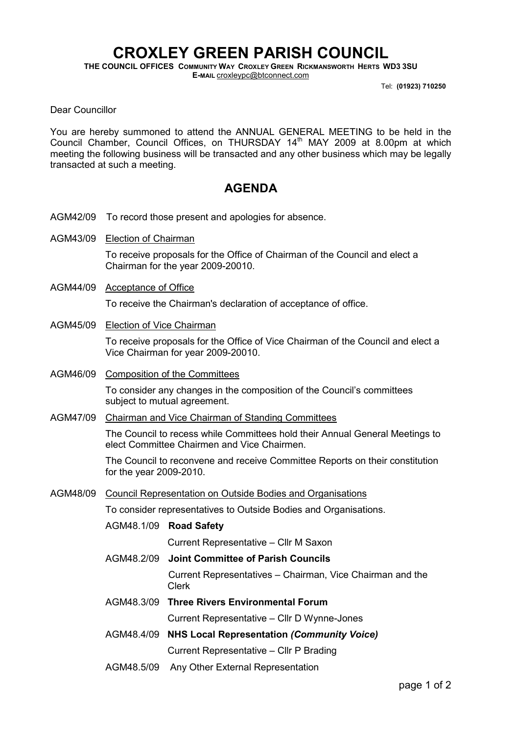## CROXLEY GREEN PARISH COUNCIL

THE COUNCIL OFFICES COMMUNITY WAY CROXLEY GREEN RICKMANSWORTH HERTS WD3 3SU E-MAIL croxleypc@btconnect.com

Tel: (01923) 710250

Dear Councillor

You are hereby summoned to attend the ANNUAL GENERAL MEETING to be held in the Council Chamber, Council Offices, on THURSDAY 14<sup>th</sup> MAY 2009 at 8.00pm at which meeting the following business will be transacted and any other business which may be legally transacted at such a meeting.

## AGENDA

- AGM42/09 To record those present and apologies for absence.
- AGM43/09 Election of Chairman

To receive proposals for the Office of Chairman of the Council and elect a Chairman for the year 2009-20010.

AGM44/09 Acceptance of Office

To receive the Chairman's declaration of acceptance of office.

AGM45/09 Election of Vice Chairman

To receive proposals for the Office of Vice Chairman of the Council and elect a Vice Chairman for year 2009-20010.

AGM46/09 Composition of the Committees

To consider any changes in the composition of the Council's committees subject to mutual agreement.

AGM47/09 Chairman and Vice Chairman of Standing Committees

The Council to recess while Committees hold their Annual General Meetings to elect Committee Chairmen and Vice Chairmen.

The Council to reconvene and receive Committee Reports on their constitution for the year 2009-2010.

AGM48/09 Council Representation on Outside Bodies and Organisations

To consider representatives to Outside Bodies and Organisations.

AGM48.1/09 Road Safety

Current Representative – Cllr M Saxon

AGM48.2/09 Joint Committee of Parish Councils

 Current Representatives – Chairman, Vice Chairman and the Clerk

- AGM48.3/09 Three Rivers Environmental Forum Current Representative – Cllr D Wynne-Jones
- AGM48.4/09 NHS Local Representation (Community Voice)

Current Representative – Cllr P Brading

AGM48.5/09 Any Other External Representation